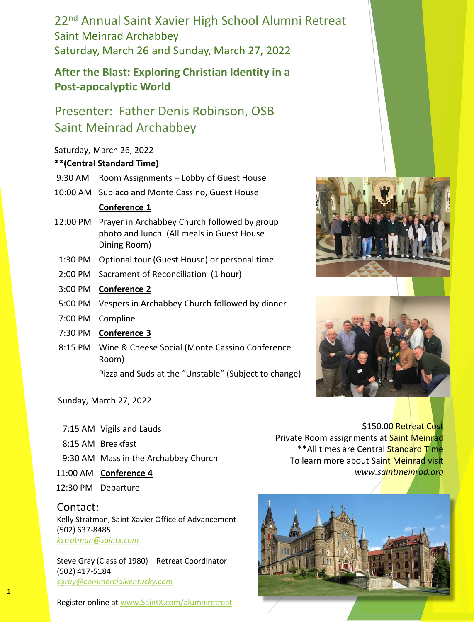22nd Annual Saint Xavier High School Alumni Retreat Saint Meinrad Archabbey Saturday, March 26 and Sunday, March 27, 2022

### **After the Blast: Exploring Christian Identity in a Post-apocalyptic World**

## Presenter: Father Denis Robinson, OSB Saint Meinrad Archabbey

#### Saturday, March 26, 2022

#### **\*\*(Central Standard Time)**

- 9:30 AM Room Assignments Lobby of Guest House
- 10:00 AM Subiaco and Monte Cassino, Guest House

#### **Conference 1**

- 12:00 PM Prayer in Archabbey Church followed by group photo and lunch (All meals in Guest House Dining Room)
- 1:30 PM Optional tour (Guest House) or personal time
- 2:00 PM Sacrament of Reconciliation (1 hour)
- 3:00 PM **Conference 2**
- 5:00 PM Vespers in Archabbey Church followed by dinner
- 7:00 PM Compline
- 7:30 PM **Conference 3**
- 8:15 PM Wine & Cheese Social (Monte Cassino Conference Room)

Pizza and Suds at the "Unstable" (Subject to change)

Sunday, March 27, 2022

- 7:15 AM Vigils and Lauds
- 8:15 AM Breakfast
- 9:30 AM Mass in the Archabbey Church
- 11:00 AM **Conference 4**
- 12:30 PM Departure

1

Contact: Kelly Stratman, Saint Xavier Office of Advancement (502) 637-8485 *[kstratman@saintx.com](mailto:kstratman@saintx.com)*

Steve Gray (Class of 1980) – Retreat Coordinator (502) 417-5184 *[sgray@commercialkentucky.com](mailto:sgray@commercialkentucky.com)*

Register online at [www.SaintX.com/alumniretreat](http://www.saintx.com/alumniretreat)

\$150.00 Retreat Cost Private Room assignments at Saint Meinrad \*\*All times are Central Standard Time To learn more about Saint Meinrad visit *www.saintmeinrad.org*

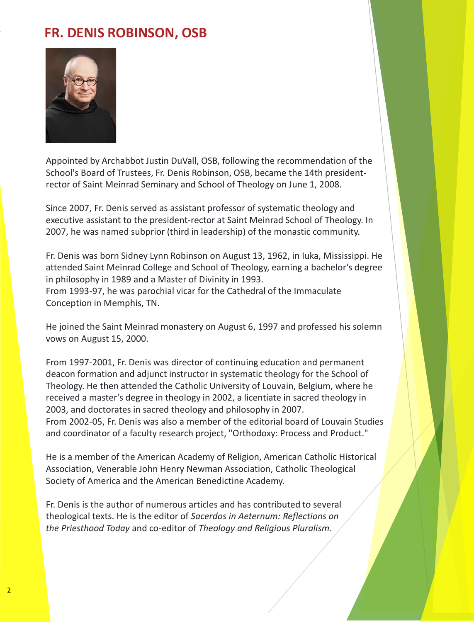## **FR. DENIS ROBINSON, OSB**



Appointed by Archabbot Justin DuVall, OSB, following the recommendation of the School's Board of Trustees, Fr. Denis Robinson, OSB, became the 14th presidentrector of Saint Meinrad Seminary and School of Theology on June 1, 2008.

Since 2007, Fr. Denis served as assistant professor of systematic theology and executive assistant to the president-rector at Saint Meinrad School of Theology. In 2007, he was named subprior (third in leadership) of the monastic community.

Fr. Denis was born Sidney Lynn Robinson on August 13, 1962, in Iuka, Mississippi. He attended Saint Meinrad College and School of Theology, earning a bachelor's degree in philosophy in 1989 and a Master of Divinity in 1993.

From 1993-97, he was parochial vicar for the Cathedral of the Immaculate Conception in Memphis, TN.

He joined the Saint Meinrad monastery on August 6, 1997 and professed his solemn vows on August 15, 2000.

From 1997-2001, Fr. Denis was director of continuing education and permanent deacon formation and adjunct instructor in systematic theology for the School of Theology. He then attended the Catholic University of Louvain, Belgium, where he received a master's degree in theology in 2002, a licentiate in sacred theology in 2003, and doctorates in sacred theology and philosophy in 2007. From 2002-05, Fr. Denis was also a member of the editorial board of Louvain Studies and coordinator of a faculty research project, "Orthodoxy: Process and Product."

He is a member of the American Academy of Religion, American Catholic Historical Association, Venerable John Henry Newman Association, Catholic Theological Society of America and the American Benedictine Academy.

Fr. Denis is the author of numerous articles and has contributed to several theological texts. He is the editor of *Sacerdos in Aeternum: Reflections on the Priesthood Today* and co-editor of *Theology and Religious Pluralism*.